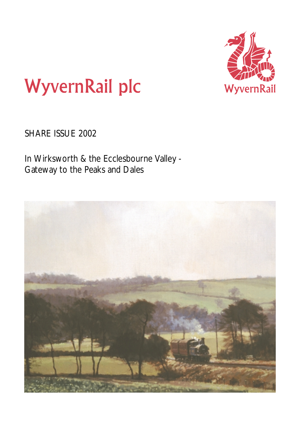

# **WyvernRail plc**

SHARE ISSUE 2002

In Wirksworth & the Ecclesbourne Valley - Gateway to the Peaks and Dales

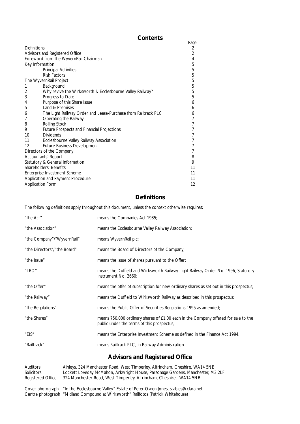## **Contents**

|                    |                                                               | Page |
|--------------------|---------------------------------------------------------------|------|
| <b>Definitions</b> |                                                               | 2    |
|                    | Advisors and Registered Office                                | 2    |
|                    | Foreword from the WyvernRail Chairman                         | 4    |
|                    | Key Information                                               | 5    |
|                    | <b>Principal Activities</b>                                   | 5    |
|                    | <b>Risk Factors</b>                                           | 5    |
|                    | The WyvernRail Project                                        | 5    |
| 1                  | Background                                                    | 5    |
| 2                  | Why revive the Wirksworth & Ecclesbourne Valley Railway?      | 5    |
| 3                  | Progress to Date                                              | 5    |
| 4                  | Purpose of this Share Issue                                   | 6    |
| 5                  | Land & Premises                                               | 6    |
| 6                  | The Light Railway Order and Lease-Purchase from Railtrack PLC | 6    |
| 7                  | Operating the Railway                                         |      |
| 8                  | <b>Rolling Stock</b>                                          |      |
| 9                  | <b>Future Prospects and Financial Projections</b>             |      |
| 10                 | <b>Dividends</b>                                              |      |
| 11                 | Ecclesbourne Valley Railway Association                       |      |
| 12                 | <b>Future Business Development</b>                            |      |
|                    | Directors of the Company                                      |      |
|                    | <b>Accountants' Report</b>                                    | 8    |
|                    | Statutory & General Information                               | 9    |
|                    | Shareholders' Benefits                                        | 11   |
|                    | Enterprise Investment Scheme                                  | 11   |
|                    | Application and Payment Procedure                             | 11   |
|                    | <b>Application Form</b>                                       | 12   |

## **Definitions**

The following definitions apply throughout this document, unless the context otherwise requires:

| "the Act"                   | means the Companies Act 1985;                                                                                                    |
|-----------------------------|----------------------------------------------------------------------------------------------------------------------------------|
| "the Association"           | means the Ecclesbourne Valley Railway Association;                                                                               |
| "the Company"/"WyvernRail"  | means WyvernRail plc;                                                                                                            |
| "the Directors"/"the Board" | means the Board of Directors of the Company;                                                                                     |
| "the Issue"                 | means the issue of shares pursuant to the Offer;                                                                                 |
| "LRO"                       | means the Duffield and Wirksworth Railway Light Railway Order No. 1996, Statutory<br>Instrument No. 2660:                        |
| "the Offer"                 | means the offer of subscription for new ordinary shares as set out in this prospectus;                                           |
| "the Railway"               | means the Duffield to Wirksworth Railway as described in this prospectus;                                                        |
| "the Regulations"           | means the Public Offer of Securities Regulations 1995 as amended;                                                                |
| "the Shares"                | means 750,000 ordinary shares of £1.00 each in the Company offered for sale to the<br>public under the terms of this prospectus; |
| "EIS"                       | means the Enterprise Investment Scheme as defined in the Finance Act 1994.                                                       |
| "Railtrack"                 | means Railtrack PLC, in Railway Administration                                                                                   |
|                             | <b>Advisors and Registered Office</b>                                                                                            |

Auditors Ainleys, 324 Manchester Road, West Timperley, Altrincham, Cheshire, WA14 5NB<br>Solicitors Lockett Loveday McMahon, Arkwright House, Parsonage Gardens, Manchester, M3 Solicitors Lockett Loveday McMahon, Arkwright House, Parsonage Gardens, Manchester, M3 2LF<br>Registered Office 324 Manchester Road, West Timperley, Altrincham, Cheshire, WA14 5NB 324 Manchester Road, West Timperley, Altrincham, Cheshire, WA14 5NB

Cover photograph "In the Ecclesbourne Valley" Estate of Peter Owen Jones, stables@clara.net Centre photograph "Midland Compound at Wirksworth" Railfotos (Patrick Whitehouse)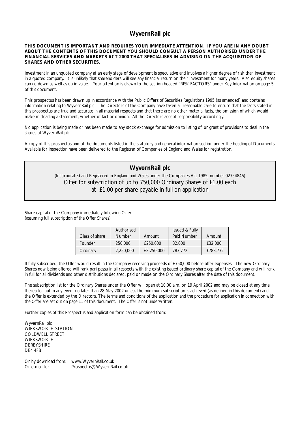## **WyvernRail plc**

## **THIS DOCUMENT IS IMPORTANT AND REQUIRES YOUR IMMEDIATE ATTENTION. IF YOU ARE IN ANY DOUBT ABOUT THE CONTENTS OF THIS DOCUMENT YOU SHOULD CONSULT A PERSON AUTHORISED UNDER THE FINANCIAL SERVICES AND MARKETS ACT 2000 THAT SPECIALISES IN ADVISING ON THE ACQUISITION OF SHARES AND OTHER SECURITIES.**

Investment in an unquoted company at an early stage of development is speculative and involves a higher degree of risk than investment in a quoted company. It is unlikely that shareholders will see any financial return on their investment for many years. Also equity shares can go down as well as up in value. Your attention is drawn to the section headed "RISK FACTORS" under Key Information on page 5 of this document.

This prospectus has been drawn up in accordance with the Public Offers of Securities Regulations 1995 (as amended) and contains information relating to WyvernRail plc. The Directors of the Company have taken all reasonable care to ensure that the facts stated in this prospectus are true and accurate in all material respects and that there are no other material facts, the omission of which would make misleading a statement, whether of fact or opinion. All the Directors accept responsibility accordingly.

No application is being made or has been made to any stock exchange for admission to listing of, or grant of provisions to deal in the shares of WyvernRail plc.

A copy of this prospectus and of the documents listed in the statutory and general information section under the heading of Documents Available for Inspection have been delivered to the Registrar of Companies of England and Wales for registration.

## **WyvernRail plc**

(Incorporated and Registered in England and Wales under the Companies Act 1985, number 02754846) Offer for subscription of up to 750,000 Ordinary Shares of £1.00 each at £1.00 per share payable in full on application

Share capital of the Company immediately following Offer (assuming full subscription of the Offer Shares)

| Class of share | Authorised<br><b>Number</b> | Amount     | <b>Issued &amp; Fully</b><br>Paid Number | Amount   |
|----------------|-----------------------------|------------|------------------------------------------|----------|
| Founder        | 250,000                     | £250,000   | 32,000                                   | £32,000  |
| Ordinary       | 2,250,000                   | £2,250,000 | 783,772                                  | £783,772 |

If fully subscribed, the Offer would result in the Company receiving proceeds of £750,000 before offer expenses. The new Ordinary Shares now being offered will rank pari passu in all respects with the existing issued ordinary share capital of the Company and will rank in full for all dividends and other distributions declared, paid or made on the Ordinary Shares after the date of this document.

The subscription list for the Ordinary Shares under the Offer will open at 10.00 a.m. on 19 April 2002 and may be closed at any time thereafter but in any event no later than 28 May 2002 unless the minimum subscription is achieved (as defined in this document) and the Offer is extended by the Directors. The terms and conditions of the application and the procedure for application in connection with the Offer are set out on page 11 of this document. The Offer is not underwritten.

Further copies of this Prospectus and application form can be obtained from:

WyvernRail plc WIRKSWORTH STATION COLDWELL STREET WIRKSWORTH **DERBYSHIRE** DE4 4FB

Or by download from: www.WyvernRail.co.uk Or e-mail to: Prospectus@WyvernRail.co.uk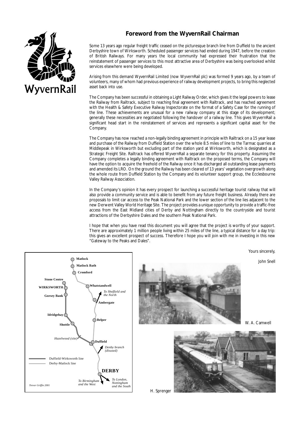## **Foreword from the WyvernRail Chairman**



Some 13 years ago regular freight traffic ceased on the picturesque branch line from Duffield to the ancient Derbyshire town of Wirksworth. Scheduled passenger services had ended during 1947, before the creation of British Railways. For many years the local community had expressed their frustration that the reinstatement of passenger services to this most attractive area of Derbyshire was being overlooked whilst services elsewhere were being developed.

Arising from this demand WyvernRail Limited (now WyvernRail plc) was formed 9 years ago, by a team of volunteers, many of whom had previous experience of railway development projects, to bring this neglected asset back into use.

The Company has been successful in obtaining a Light Railway Order, which gives it the legal powers to lease the Railway from Railtrack, subject to reaching final agreement with Railtrack, and has reached agreement with the Health & Safety Executive Railway Inspectorate on the format of a Safety Case for the running of the line. These achievements are unusual for a new railway company at this stage of its development; generally these necessities are negotiated following the handover of a railway line. This gives WyvernRail a significant head start in the reinstatement of services and represents a significant capital asset for the Company.

The Company has now reached a non-legally binding agreement in principle with Railtrack on a 15 year lease and purchase of the Railway from Duffield Station over the whole 8.5 miles of line to the Tarmac quarries at Middlepeak in Wirksworth but excluding part of the station yard at Wirksworth, which is designated as a Strategic Freight Site. Railtrack has offered WyvernRail a separate tenancy for this property. Assuming the Company completes a legally binding agreement with Railtrack on the proposed terms, the Company will have the option to acquire the freehold of the Railway once it has discharged all outstanding lease payments and amended its LRO. On the ground the Railway has been cleared of 13 years' vegetation overgrowth along the whole route from Duffield Station by the Company and its volunteer support group, the Ecclesbourne Valley Railway Association.

In the Company's opinion it has every prospect for launching a successful heritage tourist railway that will also provide a community service and is able to benefit from any future freight business. Already there are proposals to limit car access to the Peak National Park and the lower section of the line lies adjacent to the new Derwent Valley World Heritage Site. The project provides a unique opportunity to provide a traffic-free access from the East Midland cities of Derby and Nottingham directly to the countryside and tourist attractions of the Derbyshire Dales and the southern Peak National Park.

I hope that when you have read this document you will agree that the project is worthy of your support. There are approximately 1 million people living within 25 miles of the line, a typical distance for a day trip: this gives an excellent prospect of success. Therefore I hope you will join with me in investing in this new "Gateway to the Peaks and Dales".

Yours sincerely,

W. A. Camwell

John Snell





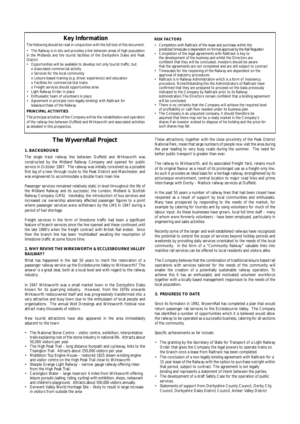## **Key Information**

The following should be read in conjunction with the full text of this document.

- The Railway is in-situ and provides a link between areas of high population in the Midlands and the tourist facilities of the Derbyshire Dales and Peak District
- Opportunities will be available to develop not only tourist traffic, but: o Associated commercial activity
	- o Services for the local community
- o Leisure-based training (e.g. driver experience) and education
- o Facilities for commercial test trains
- o Freight services should opportunities arise
- Light Railway Order in place
- Enthusiastic team of volunteers in place
- Agreement in principle (non-legally binding) with Railtrack for
- lease/purchase of the Railway

#### **PRINCIPAL ACTIVITIES**

The principal activities of the Company will be the rehabilitation and operation of the railway line between Duffield and Wirksworth and associated activities as detailed in this prospectus.

## **The WyvernRail Project**

#### **1. BACKGROUND**

The single track railway line between Duffield and Wirksworth was constructed by the Midland Railway Company and opened for public service in October 1867. The railway was initially conceived as a possible first leg of a new through route to the Peak District and Manchester, and was engineered to accommodate a double track main line.

Passenger services remained relatively static in level throughout the life of the Midland Railway and its successor, the London, Midland & Scottish Railway Company (LMS). Inevitably, the introduction of bus services and increased car ownership adversely affected passenger figures to a point where passenger services were withdrawn by the LMS in 1947 during a period of fuel shortage.

Freight services in the form of limestone traffic had been a significant feature of branch services since the line opened and these continued until the late 1980's when the freight contract with British Rail ended. Since then the branch line has been 'mothballed' awaiting the resumption of limestone traffic at some future time.

#### **2. WHY REVIVE THE WIRKSWORTH & ECCLESBOURNE VALLEY RAILWAY?**

What has happened in the last 50 years to merit the restoration of a passenger railway service up the Ecclesbourne Valley to Wirksworth? The answer is a great deal, both at a local level and with regard to the railway industry.

In 1947 Wirksworth was a small market town in the Derbyshire Dales known for its quarrying industry. However, from the 1970s onwards Wirksworth rediscovered itself and was progressively transformed into a very attractive and busy town due to the enthusiasm of local people and organisations. The annual Well Dressings and Wirksworth Festival now attract many thousands of visitors.

New tourist attractions have also appeared in the area immediately adjacent to the town:

- The National Stone Centre visitor centre, exhibition, interpretative trails explaining role of the stone industry in national life. Attracts about 50,000 visitors per year.
- The High Peak Trail long distance footpath and cycleway, links to the Tissington Trail. Attracts about 250,000 visitors per year.
- Middleton Top Engine House restored 1825 steam winding engine and visitor centre on the High Peak Trail close to Wirksworth.
- Steeple Grange Light Railway narrow gauge railway offering rides from the High Peak Trail.
- Carsington Water large reservoir 4 miles from Wirksworth offering leisure pursuits (sailing, riding, cycling) with exhibition, shops, restaurant and children's playground. Attracts about 500,000 visitors annually.
- Derwent Valley World Heritage Site likely to result in large increase in visitors from outside the area

#### **RISK FACTORS**

- Completion with Railtrack of the lease and purchase within the predicted timescale is dependent on formal approval by the Rail Regulator
- Completion of the legal agreements with Railtrack is key to the development of the business and whilst the Directors are confident that they will be concluded, investors should be aware that the agreements are not completed and are still subject to contract
- Timescales for the reopening of the Railway are dependent on the approval of statutory procedures
- Railtrack is in Railway Administration which is a form of insolvency procedure. Notwithstanding this the Administrators of Railtrack have confirmed that they are prepared to proceed on the basis previously indicated to the Company by Railtrack prior to its Railway Administration.The Directors remain confident that a binding agreement will be concluded.
- There is no certainty that the Company will achieve the required level of profitability or cash flow needed under its business plan
- The Company is an unquoted company, it should therefore be assumed that there may not be a ready market in the Company's shares if an investor wished to dispose of his holding and the price for such shares may fall.

These attractions, together with the close proximity of the Peak District National Park, mean that large numbers of people now visit the area during the year leading to very busy roads during the summer. The need for better public transport is greater than ever.

The railway to Wirksworth, and its associated Freight Yard, retains much of its original flavour as a result of its prolonged use as a freight-only line. As such it provides an ideal basis for a heritage railway, strengthened by its picturesque environment, central location to major road links and prime interchange with Derby – Matlock railway services at Duffield.

In the past 50 years a number of railway lines that had been closed have reopened as a result of support by local communities and enthusiasts. Many have prospered by responding to the needs of the market, for example by catering for tourists and by using volunteers for much of the labour input. As these businesses have grown, local full time staff – many of whom were formerly volunteers - have been employed, particularly in engineering and sales activities.

Recently some of the larger and well established railways have recognized the potential to extend the scope of services beyond holiday periods and weekends by providing daily services orientated to the needs of the local community. In the form of a "Community Railway" valuable links into mainline rail services can be offered to local residents and visitors alike.

The Company believes that the combination of traditional leisure based rail operations with services tailored for the needs of the community will enable the creation of a potentially sustainable railway operation. To achieve this it has an enthusiastic and motivated volunteer workforce together with a locally based management responsive to the needs of the local population.

#### **3. PROGRESS TO DATE**

Since its formation in 1992, WyvernRail has completed a plan that would return passenger rail services to the Ecclesbourne Valley. The Company has identified a number of opportunities which it is believed would allow the railway to be operated as a successful business, catering for all sections of the community.

Specific achievements so far include:

- The granting by the Secretary of State for Transport of a Light Railway Order that gives the Company the legal powers to operate trains on the branch once a lease from Railtrack has been completed.
- The conclusion of a non-legally binding agreement with Railtrack for a 15 year lease of the Railway with the option to purchase outright within that period, subject to contract. The agreement is not legally binding and represents a statement of intent between the parties.
- The development of a draft Safety Case for the operation of public services.
- Statements of support from Derbyshire County Council, Derby City Council, Derbyshire Dales District Council, Amber Valley District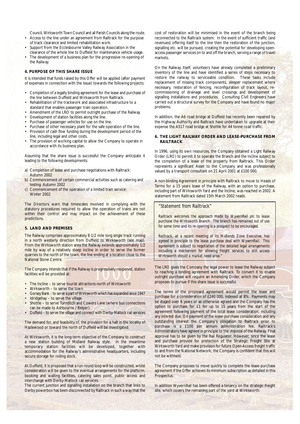Council, Wirksworth Town Council and all Parish Councils along the route.

- Access to the line under an agreement from Railtrack for the purpose of track clearance and limited rehabilitation work.
- Support from the Ecclesbourne Valley Railway Association in the clearance of the whole line to Duffield for maintenance vehicle usage.
- The development of a business plan for the progressive re-opening of the Railway.

#### **4. PURPOSE OF THIS SHARE ISSUE**

It is intended that funds raised by this Offer will be applied (after payment of expenses in connection with the Issue) towards the following projects:

- Completion of a legally binding agreement for the lease and purchase of the line between Duffield and Wirksworth from Railtrack.
- Rehabilitation of the trackwork and associated infrastructure to a standard that enables passenger train operation.
- Amendment of the LRO to permit outright purchase of the Railway.
- Development of station facilities along the line.
- Purchase of passenger vehicles for use on the line.
- Purchase of other necessary plant for the safe operation of the line.
- Provision of cash flow funding during the development period of the line, including legal and other costs.
- The provision of working capital to allow the Company to operate in accordance with its business plan.

Assuming that the share issue is successful the Company anticipate it leading to the following developments:

- a) Completion of lease and purchase negotiations with Railtrack: Autumn 2002
- b) Commencement of certain commercial activities such as catering and testing: Autumn 2002
- c) Commencement of the operation of a limited train service: Winter 2002

The Directors warn that timescales involved in complying with the statutory procedures required to allow the operation of trains are not within their control and may impact on the achievement of these predictions.

## **5. LAND AND PREMISES**

The Railway comprises approximately 8 1/2 mile long single track running in a north westerly direction from Duffield to Wirksworth (see map). From the Wirksworth station area the Railway extends approximately 1/2 mile by way of a relatively steep incline in order to serve the former quarries to the north of the town, the line ending at a location close to the National Stone Centre.

The Company intends that if the Railway is progressively reopened, station facilities will be provided at:

- The Incline to serve tourist attractions north of Wirksworth
- Wirksworth to serve the town
- Gorsey Bank to serve a part of Wirksworth which has expanded since 1947
- Idridgehay to serve the village • Shottle – to serve Turnditch and Cowers Lane (where bus connections
- can be made to Ashbourne / Belper)
- Duffield to serve the village and connect with Derby-Matlock rail services

The demand for, and feasibility of, the provision for a halt in the locality of Hazlewood or toward the north of Duffield will be investigated.

At Wirksworth, it is the long-term objective of the Company to construct a new station building of Midland Railway style. In the meantime temporary station facilities will be developed, together with accommodation for the Railway's administrative headquarters, including secure storage for rolling stock.

At Duffield, it is proposed that a run round loop will be constructed, whilst consideration will be given to the eventual arrangements for the platform, booking and waiting facilities, catering sales point, public access and interchange with Derby-Matlock rail services.

The current junction and signalling installation on the branch that links to Derby powerbox has been disconnected by Railtrack in such a way that the

cost of restoration will be minimised in the event of the branch being reconnected to the Railtrack system. In the event of sufficient traffic (and revenues) offering itself to the line then the restoration of the junction, signalling etc. will be pursued, creating the potential for developing openaccess passenger services on to and off the branch, serving a range of travel markets.

On the Railway itself, volunteers have already completed a preliminary inventory of the line and have identified a series of steps necessary to restore the railway to serviceable condition. These tasks include replacement of missing track components, sleeper replacement where necessary, restoration of fencing, reconfiguration of track layout, recommissioning of drainage and level crossings and development of signalling installations and procedures. Consulting Civil Engineers have carried out a structural survey for the Company and have found no major problems.

In addition, the A6 road bridge at Duffield has recently been repaired by the Highway Authority and Railtrack have undertaken to upgrade at their expense the A517 road bridge at Shottle for 44 tonne road traffic.

#### **6. THE LIGHT RAILWAY ORDER AND LEASE-PURCHASE FROM RAILTRACK**

In 1996, using its own resources, the Company obtained a Light Railway Order (LRO) to permit it to operate the Branch and the Incline subject to the completion of a lease of the property from Railtrack. This Order represents a significant Asset to the Company and was professionally valued by a transport consultant on 21 April 2001 at £100 000.

A non-binding Agreement in principle with Railtrack to move to Heads of Terms for a 15 years lease of the Railway, with an option to purchase, including part of Wirksworth Yard and the Incline, was reached in 2002. A statement from Railtrack dated 15th March 2002 reads:

#### *"Statement from Railtrack"*

*Railtrack welcomes the approach made by WyvernRail plc to lease purchase the Wirksworth Branch. The branch has remained out of use for some time and its re-opening is a prospect to be encouraged.*

*Railtrack, at a recent meeting of its Midlands Zone Executive, has agreed in principle to the lease purchase deal with WyvernRail. This agreement is subject to negotiation of the detailed legal arrangements including a mechanism for allowing freight services to still access Wirksworth should a market need arise."* 

The LRO gives the Company the legal power to lease the Railway subject to reaching a binding agreement with Railtrack. To convert it to enable outright purchase will require an Amending Order, which the Company proposes to pursue if this share issue is successful.

The terms of the proposed agreement would permit the lease and purchase for a consideration of £240 000, indexed at 8%. Payments may be staged over 6 years or as otherwise agreed and the Company has the option to purchase for £1 for up to 15 years from the start of the agreement following payment of the total lease consideration, including any interest due. On payment of the lease-purchase consideration and any outstanding interest the Company's obligation to Railtrack prior to purchase is a £100 per annum administration fee. Railtrack's Administrators have agreed in principle to the disposal of the Railway. Final approval has to be given by the Rail Regulator. However, since the lease and purchase provide for protection of the Strategic Freight Site at Wirksworth Yard and make provision for future Open Access freight traffic to and from the National Network, the Company is confident that this will not be withheld.

The Company proposes to move quickly to complete the lease-purchase agreement if the Offer achieves its minimum subscription as detailed in this Prospectus.

In addition WyvernRail has been offered a tenancy on the strategic freight site, which covers the remaining part of the yard at Wirksworth.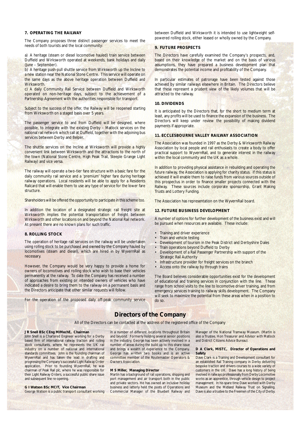#### **7. OPERATING THE RAILWAY**

The Company proposes three distinct passenger services to meet the needs of both tourists and the local community:

a) A heritage (steam or diesel locomotive hauled) train service between Duffield and Wirksworth operated at weekends, bank holidays and daily (June – September).

b) A heritage push-pull shuttle service from Wirksworth up the Incline to a new station near the National Stone Centre. This service will operate on the same days as the above heritage operation between Duffield and **Wirksworth** 

c) A daily Community Rail Service between Duffield and Wirksworth operated on non-heritage days, subject to the achievement of a Partnership Agreement with the authorities responsible for transport.

Subject to the success of the offer, the Railway will be reopened starting from Wirksworth on a staged basis over 5 years.

The passenger service to and from Duffield will be designed, where possible, to integrate with the existing Derby – Matlock services on the national rail network which call at Duffield, together with the adjoining bus services between Derby and Belper.

The shuttle services on the Incline at Wirksworth will provide a highly convenient link between Wirksworth and the attractions to the north of the town (National Stone Centre, High Peak Trail, Steeple Grange Light Railway) and vice versa.

The railway will operate a two-tier fare structure with a basic fare for the daily community rail service and a 'premium' higher fare during heritage railway operations. Local residents will be able to apply for a Residents Railcard that will enable them to use any type of service for the lower fare structure.

Shareholders will be offered the opportunity to participate in this scheme too.

In addition the location of a designated strategic rail freight site at Wirksworth implies the potential transportation of freight between Wirksworth and other locations on and beyond the National Rail network. At present there are no known plans for such traffic.

#### **8. ROLLING STOCK**

The operation of heritage rail services on the railway will be undertaken using rolling stock to be purchased and owned by the Company hauled by locomotives (steam and diesel), which are hired in by WyvernRail as necessary.

However, the Company would be very happy to provide a home for owners of locomotives and rolling stock who wish to base their vehicles permanently at the railway. To date the Company has received a number of approaches from existing or intended owners of vehicles who have indicated a desire to bring them to the railway on a permanent basis and the Directors anticipate that other similar requests will follow.

For the operation of the proposed daily off-peak community service

between Duffield and Wirksworth it is intended to use lightweight selfpowered rolling stock, either leased or wholly owned by the Company.

#### **9. FUTURE PROSPECTS**

The Directors have carefully examined the Company's prospects, and, based on their knowledge of the market and on the basis of various assumptions, they have prepared a business development plan that demonstrates the potential income and profitability of the Company.

In particular estimates of patronage have been tested against those achieved by similar railways elsewhere in Britain. The Directors believe that these represent a prudent view of the likely volumes that will be attracted to the railway.

#### **10. DIVIDENDS**

It is anticipated by the Directors that, for the short to medium term at least, any profits will be used to finance the expansion of the business. The Directors will keep under review the possibility of making dividend payments if appropriate.

#### **11. ECCLESBOURNE VALLEY RAILWAY ASSOCIATION**

The Association was founded in 1997 as the Derby & Wirksworth Railway Association by local people and rail enthusiasts to create a body to offer practical support to WyvernRail, and to generate interest in the railway within the local community and the UK as a whole.

In addition to providing physical assistance in rebuilding and operating the future railway, the Association is applying for charity status. If this status is achieved it will enable them to raise funds from various sources outside of this prospectus in order to finance smaller projects connected with the Railway. These sources include corporate sponsorship, Grant Making Trusts and Lottery Funding.

The Association has representation on the WyvernRail board.

#### **12. FUTURE BUSINESS DEVELOPMENT**

A number of options for further development of the business exist and will be pursued when resources are available. These include:

- Training and driver experience
- Train and vehicle testing
- Development of tourism in the Peak District and Derbyshire Dales
- Train operations beyond Duffield to Derby
- Development of a Rail Passenger Partnership with support of the Strategic Rail Authority
- Infrastructure provider for freight services on the branch
- Access onto the railway by through trains

The Board believes considerable opportunities exist for the development of educational and training services in conjunction with the line. These range from school visits to the line to locomotive driver training, and from emergency services training to railway skills development. The Company will seek to maximize the potential from these areas when in a position to do so.

## **Directors of the Company**

All of the Directors can be contacted at the address of the registered office of the Company

#### **J R Snell BSc CEng MIMechE, Chairman**

John Snell is a Chartered Engineer working for a Derby based firm of international railway traction and rolling stock consultants, where he represents the UK rail industry on a number of national and international standards committees. John is the founding chairman of WyvernRail and has taken the lead in drafting and progressing the Company's successful Light Railway Order application. Prior to founding WyvernRail, he was chairman of Peak Rail plc, where he was responsible for their Light Railway Orders, a successful public share issue and subsequent line re-opening.

## **G I Watson BSc MCIT, Vice Chairman**

George Watson is a public transport consultant working

in a number of different locations throughout Britain and beyond. Formerly holding several senior positions in the industry, George has been actively involved in a number of areas during the build up to this share issue and brings a wealth of experience to the Company. George has written two books and is an active committee member of the Routemaster Operators & **Owners Association** 

#### **M S Miller, Managing Director**

Martin has a background of rail operations, shipping and port management and air transport both in the public and private sectors. He has owned an inclusive holiday business and latterly held the posts of Operations and Commercial Manager of the Bluebell Railway and

Manager of the National Tramway Museum. (Martin is also a Trustee, Hon Treasurer and Advisor with Matlock and District Citizens Advice Bureau).

#### **D A Clark, MISTC, Director of Operations and Safety**

Dave Clark is a Training and Development consultant for an established Rail Training company in Derby delivering bespoke traction and drivers courses to a wide variety of customers in the UK. Dave has a long history of being involved in railways professionally from Derby Locomotive works as an apprentice, through vehicle design to project management. In his spare time Dave worked with Derby Museum and the Midland Railway Trust on Signalling. Dave is also a trustee to the Freemen of the City of Derby.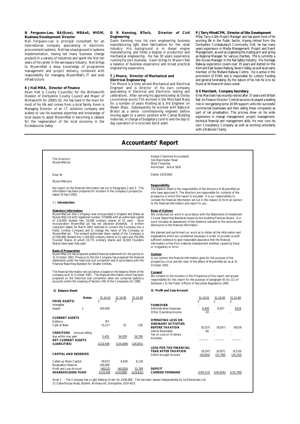#### **N Ferguson-Lee, BA(Econ), MRAeS, MIOM, Business Development Director**

Neil Ferguson-Lee is principal consultant for an international company specialising in electronic procurement systems. Neil has a background in systems implementation, having led many business change projects in a variety of industries and spent the first ten years of his career in the aerospace industry. Neil brings to WyvernRail a deep knowledge of programme management and project delivery, combined with responsibility for managing WyvernRail's IT and web infrastructure.

#### **K J Hall MBA, Director of Finance**

Kevin Hall is County Councillor for the Wirksworth Division of Derbyshire County Council and Mayor of Wirksworth for 20001-02. He has lived in the town for most of his life and comes from a local family. Kevin is Managing Director of an I.T. solutions company and wishes to use his business expertise and knowledge of local issues to assist WyvernRail in becoming a catalyst for the regeneration of the local economy in the Ecclesbourne Valley.

#### **G R Kenning, BTech, Director of Civil Engineering**

Gavin Kenning runs his own engineering business manufacturing light steel fabrications for the retail industry. His background is in diesel engine matter *j*. The basing band holds and manufacturing, and holds a degree in production and mechanical engineering. He has 30 years experience running his own business. Gavin brings to Wyvern Rail a balance of business experience and broad practical engineering experience.

#### **T J Moore, Director of Mechanical and Electrical Engineering**

Tim Moore is a time served Mechanical and Electrical Engineer and is director of his own company specialising in Electrical and Electronic testing and calibrations. After serving his apprenticeship at Derby Locomotive works Tim worked in the Merchant Navy for a number of years finishing as a 3rd Engineer on Steam Ships. Subsequently he worked with Babcock Bristol as a senior commissioning engineer before moving again to a senior position with Camas Building materials, in charge of budgetary control and the day to day operation of a concrete block plant.

#### **P J Tarry MInstCFM, Director of Site Development**

Philip Tarry is Site Project Manager and has spent most of his working life in the Public Sector. Having retired from the Derbyshire Constabulary's Community Unit, he has many years experience in Media Management, Project and Event Management, as well as organising the trading arm and acting as Regional Manager for various charities. Phil is currently a Site Access Manager in the Rail Safety Industry. His Heritage Railway experience covers over 35 years and started on the Kent and East Sussex Railway, Severn Valley, as well as an early member of the Midland Railway Centre. He is active in the promotion of EVRA and is responsible for Lottery Funding and general fundraising. By the nature of his role he is to be found at Wirksworth every week.

#### **G E Marchant, Company Secretary.**

Ernie Marchant has recently retired after 37 years with British Rail. As Finance Director Central services he played a leading role in reorganising some 20 BR support units into successful commercial businesses and then selling these companies as part of rail privatisation. This process drew on his wide experience in change management, project management, technical financial and management skills. He now runs his own Consultancy Company as well as working voluntarily with a National Charity.

## **Accountants' Report**

#### The Directors WyvernRail plc

#### Dear Sir

#### WyvernRail plcs

We report on the financial information set out in Paragraphs 2 and 3. This information has been prepared for inclusion in the company's prospectus dated 19 April 2002.

#### 1.) **Introduction**

#### **Statutory Information**

WyvernRail plc (the Company) was incorporated in England and Wales as<br>WyvernRail Ltd with registered number 2754846 with an authorised capital<br>of £10,000 divided into 10,000 ordinary shares of £1 each.<br>incorporation Wyvern resolution dated 1st March 2002 resolved to convert the Company into a Public Limited Company and to change the name of the Company to WyvernRail plc. The present authorised share capital of the Company is £2,500,000 divided into 2,250,000 ordinary shares of £1 each and 250,000 Founder Shares of which 33,772 ordinary shares and 32,000 Founders Shares have been fully paid.

**<u>Basis of Preparation</u>**<br>WyvernRail Ltd has prepared audited financial statements for the period to<br>31 October 2001. Previous to this the Company has prepared the financial<br>statements under the historical cost convention a Financial Reporting Standard for Smaller Entities.

The financial information set out below is based on the Balance Sheet of the company as at 31 October 2001. The financial information which has been prepared on the historical cost convention does not comprise statutory accounts within the meaning of Section 240 of the Companies Act 1985.

#### **2) Balance Sheet**

| <b>FIXED ASSETS:</b>                                                                                         | <b>Notes</b>   | 31.10.01<br>f                            | 31.10.00<br>f                   | 31.10.99<br>f                |                     |
|--------------------------------------------------------------------------------------------------------------|----------------|------------------------------------------|---------------------------------|------------------------------|---------------------|
| Intangible<br>Assets                                                                                         | 1              | 100.000                                  |                                 |                              | TU<br>Adr<br>Oth    |
| <b>CURRENT ASSETS</b><br>Debtors<br>Cash at Bank                                                             |                | 767<br>15,217                            | 32                              | 139                          | ОP<br>OR<br>BEI     |
| <b>CREDITORS</b><br>due within one year<br><b>NET CURRENT ASSETS</b><br>(LIABILITIES)                        | Amount falling | 5,435<br>£110,549                        | 34.039<br>E(34,008)             | 26,790<br>£26,651)           | Inte<br>Tax<br>Acti |
| <b>CAPITAL AND RESERVES</b>                                                                                  |                |                                          |                                 |                              | LO:<br>YE/<br>Def   |
| Called up Share Capital<br><b>Revaluation Reserve</b><br>Profit and Loss Account<br><b>SHAREHOLDERS FUND</b> |                | 59.672<br>100,000<br>(49123)<br>£110.549 | 6,818<br>(40, 826)<br>E(34.008) | 6,118<br>32,769<br>E(26,651) | DEI<br>CA           |

Ainleys Chartered Accountants 324 Manchester Road West Timperley Altrincham WA14 5NB

Dated: 24/3/2002

#### **Responsibility**

**The Balance Sheet is the responsibility of the directors of WyvernRail plc** who have approved it. The directors are responsible for contents of the prospectus in which this report is included. It is our responsibility to compile the financial information set out in this respect to form an opinion to the financial information and report to you.

#### **Basis of Opinion**

We conducted our work in accordance with the Statements of Investment Circular Reporting Standards issued by the Auditing Practices Board. Our work included an assessment of the evidence relevant to the amounts and disclosures in the financial information.

We planned and performed our work as to obtain all the information and explanations which we considered necessary in order to provide us with sufficient evidence to give reasonable assurance that the financial information is free from material misstatement whether caused by fraud or irregularity or error.

#### **Opinion**

In our opinion the financial information gives for the purpose of the prospectus a true and fair view of the affairs of WyvernRail plc as at 31 October 2001.

#### **Consent**

We consent to the inclusion in this Prospectus of this report and accept responsibility for this report for the purpose of paragraph 45 (b) 111 of Schedule 1 to the Public Officers of Securities Regulations 1995.

#### **3) Profit and Loss Account**

| 31.10.01<br>£                            | 31.10.00                        | 31.10.99                     |                                                                                                        | 31.10.01<br>f         | 31.10.00<br>f        | 31.10.99<br>f         |  |
|------------------------------------------|---------------------------------|------------------------------|--------------------------------------------------------------------------------------------------------|-----------------------|----------------------|-----------------------|--|
|                                          |                                 |                              | <b>TURNOVER</b>                                                                                        |                       |                      |                       |  |
| 100.000                                  |                                 |                              | <b>Administrative Expenses</b>                                                                         | 8,400                 | 8,057                | 6519                  |  |
|                                          |                                 |                              | Other Operating Income                                                                                 | 43                    |                      |                       |  |
| 767<br>15,217                            | 32                              | 139                          | <b>OPERATING LOSS ON</b><br><b>ORDINARY ACTIVITIES</b><br><b>BEFORE TAXATION</b><br>Interst Receivable | (8, 357)<br>60        | (8,057)              | (6519)                |  |
| 5,435                                    | 34,039                          | 26,790                       | Tax on Loss on Ordinary<br><b>Activities</b>                                                           |                       |                      |                       |  |
| £110,549                                 | E(34,008)                       | £26,651)                     | <b>LOSS FOR THE FINANCIAL</b><br>YEAR AFTER TAXATION<br>Deficit brought forward                        | (8, 297)<br>(40, 826) | (8,057)<br>(32, 769) | (6, 519)<br>(26, 250) |  |
| 59,672<br>100,000<br>(49123)<br>£110,549 | 6,818<br>(40, 826)<br>E(34,008) | 6,118<br>32,769<br>E(26,651) | <b>DEFICIT</b><br><b>CARRIED FORWARD</b>                                                               |                       |                      |                       |  |
|                                          |                                 |                              | ight Railway Order for £100,000. This has been valued independently by 1a Enterprises Ltd,             | E(49, 123)            | E(40, 826)           | E(32,769)             |  |
|                                          |                                 |                              |                                                                                                        |                       |                      |                       |  |

Note 1 - The Company has a Light Railway Order for £100,000. This has been valued independently by 1a Enterprises Ltd, 51 Oakerthorpe Road, Bolehill, Wirksworth, Derbyshire, DE4 4GD.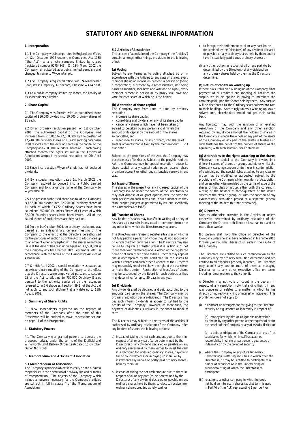## **STATUTORY AND GENERAL INFORMATION**

#### **1. Incorporation**

1.1 The Company was incorporated in England and Wales on 12th October 1992 under the Companies Act 1985 ("the Act") as a private company limited by shares (registered number 02754846). On 13th March 2002 the Company re-registered as a public limited company and changed its name to WyvernRail plc.

1.2 The Company's registered office is at 324 Manchester Road, West Timperley, Altrincham, Cheshire WA14 5NB.

1.3 As a public company limited by shares, the liability of its shareholders is limited.

#### **2. Share Capital**

2.1 The Company was formed with an authorised share capital of £10,000 divided into 10,000 ordinary shares of £1 each.

2.2 By an ordinary resolution passed on 1st October 2001, the authorised capital of the Company was increased from £10,000 to £2,500,000 by the creation of £2,240,000 ordinary shares of £1 each ranking pari passu in all respects with the existing shares in the capital of the Company and 250,000 Founders Shares of £1 each having attached thereto the rights set out in the Articles of Association adopted by special resolution on 9th April 2002.

2.3 Since incorporation WyvernRail plc has not declared dividends.

2.4 By a special resolution dated 1st March 2002 the Company resolved to convert into a Public Limited Company and to change the name of the Company to WyvernRail plc.

2.5 The present authorised share capital of the Company is £2,500,000 divided into £2,250,000 ordinary shares of £1 each of which 33,772 Ordinary Shares have been issued and 250,000 Founders Shares of £1 each of which 32,000 Founders shares have been issued. All of the issued shares of both classes are fully paid up.

2.6 On the 1st October 2001, an ordinary resolutions was passed at an extraordinary general meeting of the Company to the effect that the Directors be authorised for the purposes of Section 80 of the Act to allot shares up to an amount when aggregated with the shares already on issue at the date of this resolution equalling £2,500,000 in the Company any time before 30th September 2006 in accordance with the terms of the Company's Articles of Association.

2.7 On 9th April 2002 a special resolution was passed at an extraordinary meeting of the Company to the effect that the Directors were empowered pursuant to section 95 of the Act to allot up to 750,000 Ordinary Shares pursuant to the authority conferred by the resolution referred to in 2.6 above as if section 89(1) of the Act did not apply to any such allotment at any date up to 18th August 2002.

#### **3. Summary of Share Rights**

3.1 New shareholders registered on the register of members of the Company after the date of this Prospectus will be entitled to travel concessions set out on page 11 of this Prospectus.

#### **4. Statutory Powers**

4.1 The Company was granted powers to operate the proposed railway under the terms of the Duffield and Wirksworth Light Railway Order 1996 dated 15 October Order No. 2660

#### **5. Memorandum and Articles of Association**

#### **5.1 Memorandum of Association**

The Company's principal object is to carry on the business as specialists in the operation of a railway line and all forms of transportation. The objects of the Company which include all powers necessary for the Company's articles are set out in full in clause 4 of the Memorandum of Association.

#### **5.2 Articles of Association**

The articles of association of the Company ("the Articles") contain, amongst other things, provisions to the following effect:

#### **(a) Voting**

Subject to any terms as to voting attached by or in accordance with the Articles to any class of shares, every member (being an individual) present in person or (being a corporation) is present by a representative, not being himself a member, shall have one vote and on a poll, every member present in person or by proxy shall have one vote for each share of which he is the holder.

#### **(b) Alteration of share capital**

The Company may from time to time by ordinary resolution

increase its share capital:

- consolidate and divide all or any of its share capital cancel any shares which have not been taken or

agreed to be taken by any person and diminish the amount of its capital by the amount of the shares so cancelled, and

- sub-divide its shares, or any of them, into shares of smaller amounts than is fixed by the memorandum association.

Subject to the provisions of the Act, the Company may purchase any of its shares. Subject to the provisions of the Act, the Company may be special resolution reduce its share capital or any capital redemption reserve, share premium account or other undistributable reserve in any way.

#### **(c) Issue of Shares**

The shares in the present or any increased capital of the Company shall be under the control of the Directors who may allot dispose of or grant options over the same for such persons on such terms and in such manner as they think proper (subject as permitted by law and specifically the Companies Act 1985).

#### **(d) Transfer of Shares**

Any holder of shares may transfer in writing all or any of his shares by transfer in any usual or common form or in any other form which the Directors may approve.

The Directors may refuse to register a transfer of which is not fully paid to a person of whom they do not approve or on which the Company has a lien. The Directors may also refuse to register a transfer unless it is in favour of not more than four transferees and is lodged at the registered office or at such other office as the Directors may appoint and is accompanies by the certificate for the shares to which it relates and such other evidence as the Directors may reasonably require to show the right of the transferor to make the transfer. Registration of transfers of shares may be suspended by the Board for such periods as they may determine, for up to 30 days in any year.

#### **(e) Dividends**

Any dividends shall be declared and paid according to the amounts paid up on the shares. The Company may by ordinary resolution declare dividends. The Directors may pay such interim dividends as appear to justified by the profits of the Company. However, as mentioned, the payment of dividends is unlikely in the short to medium term.

The Directors may subject to the terms of the articles, if authorised by ordinary resolution of the Company, offer any holders of shares the following options:

- a) instead of taking the net cash amount due to them in respect of all or any part (to be determined by the Directors) of any dividend declared or payable on any ordinary shares held by them, either to invest the cash in subscribing for unissued ordinary shares, payable in full or by instalments, or in paying up in full or by instalments any unpaid or partly paid ordinary shares held by them; or
- b) instead of taking the net cash amount due to them in respect of all or any part (to be determined by the Directors) of any dividend declared or payable on any ordinary shares held by them, to elect to receive new ordinary shares credited as fully paid; or
- c) to forego their entitlement to all or any part (to be determined by the Directors) of any dividend declared or payable on any ordinary shares held by them and to take instead fully paid bonus ordinary shares; or
- d) any other option in respect of all or any part (to be determined by the Directors) of any dividend on any ordinary shares held by them as the Directors determine.

#### **(f) Return of capital on winding up**

If there is a surplus on a winding up of the Company, after payment of all creditors and meeting all liabilities the surplus would be applied in paying to members the amounts paid upon the Shares held by them. Any surplus will be distributed to the Ordinary shareholders pro rata to their holdings. Accordingly unless a winding up was a solvent one, shareholders would not get their capital back.

Any liquidator may, with the sanction of an existing resolution of the Company and any other sanction required by law, divide amongst the holders of shares in the Company, in specie the whole or any part of the assets of the Company or any part of the assets in trustees up such trusts for the benefit of the holders of shares as the liquidator, with such sanction, shall determine.

**(g) Alterations to the rights attaching to the shares** Whenever the capital of the Company is divided into different classes of shares or groups and either whilst the Company is a going concern or during or in contemplation of a winding up, the special rights attached to any class or group may be modified or abrogated, subject to the provisions of the Company's Memorandum of Association and unless otherwise provided by the terms of issue of the shares of that class or group, either with the consent in writing of the holders of three-quarters of the issued shares of the class or group, or with the sanction of any extraordinary resolution passed at a separate general meeting of the holders (but not otherwise).

#### **(h) Directors**

Save as otherwise provided in the Articles or unless otherwise determined by ordinary resolution of the Company, the Directors shall not be less than two and no more than twelve.

No person shall hold the office of Director of the Company unless he shall have registered in his name 2000 Ordinary or Founder Shares of £1 each in the capital of the Company.

The Directors are entitled to such remuneration as the Company may by ordinary resolution determine and are entitled to all expenses properly incurred. The Directors may appoint any one or more of them as managing Director or to any other executive office on terms including remuneration as they think fit.

A Director may not vote or count in the quorum in respect of any resolution notwithstanding that it in any way concerns or relates to a matter in which he has directly or indirectly any kind of interest whatsoever. This prohibition does not apply to:

(i) a contract or arrangement for giving to the Director security or a guarantee or indemnity in respect of:

(a) money lent by him or obligations undertaken by him or by any other person at the request of or for the benefit of the Company or any of its subsidiaries; or

(b) a debt or obligation of the Company or any of its subsidiaries for which he himself has assumed responsibility in whole or part under a guarantee or indemnity or by the giving of security.

- (ii) where the Company or any of its subsidiary undertakings is offering securities in which offer the Director is, or may be, entitled to participate as a holder of securities or in the underwriting or subunderwriting of which the Director is to participate;
- (iii) relating to another company in which he does not hold an interest in shares (as that term is used in Part VI of the Act) representing 1 per cent or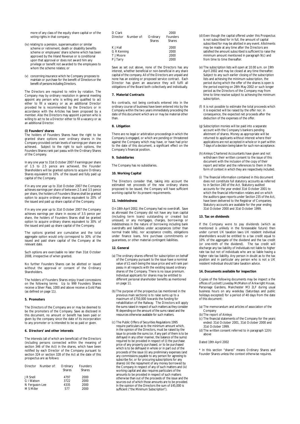more of any class of the equity share capital or of the voting rights in that company;

- (iv) relating to a pension, superannuation or similar scheme or retirement, death or disability benefits scheme or employees' share scheme which has been approved by the Inland Revenue or is conditional upon that approval or does not award him any privilege or benefit not awarded to the employees to whom the scheme relates; or
- (v) concerning insurance which he Company proposes to maintain or purchase for the benefit of Directors or the benefit of persons including Directors.

The Directors are required to retire by rotation. The Company may by ordinary resolution in general meeting appoint any person who is willing and qualified to act either to fill a vacancy or as an additional Director provided he is recommended by the Directors or in accordance with the Articles has been proposed by a member. Also the Directors may appoint a person who is willing to act to be a Director either to fill a vacancy or as an additional Director.

#### **(i) Founders' shares**

The holders of Founders Shares have the right to be granted share options over ordinary shares in the Company provided certain levels of earnings per share are achieved. Subject to the right to such options, the Founders Shares rank pari passu with the Ordinary Shares of the Company.

In any one year to 31st October 2007 if earnings per share of 1.5 to 2.5 pence are achieved, the Founder Shareholders will be granted options to acquire Ordinary Shares equivalent to 10% of the issued and fully paid up capital of the Company.

If in any one year up to 31st October 2007 the Company achieves earnings per share of between 2.5 and 3.5 pence per share, the holders of Founders Shares shall be granted option to acquire ordinary shares equivalent to 20% of the issued and paid up share capital of the Company.

If in any one year up to 31st October 2007 the Company achieves earnings per share in excess of 3.5 pence per share, the holders of Founders Shares shall be granted option to acquire ordinary shares equivalent to 30% of the issued and paid up share capital of the Company.

The options granted are cumulative and the total aggregate option would only correspond to 30% of the issued and paid share capital of the Company at the relevant date.

Such options are exercisable no later than 31st October 2008, irrespective of when granted.

No further Founders Shares can be allotted or issued without the approval or consent of the Ordinary **Shareholders** 

The holders of Founders Shares enjoy travel concessions on the following terms: Up to 999 Founders Shares receive a Silver Pass, 1000 and above receive a Gold Pass (as defined on page 11).

#### **5. Promoters**

The Directors of the Company are or may be deemed to be the promoters of the Company. Save as disclosed in this document, no amount or benefit has been paid or given by the company since the date of its incorporation to any promoter or is intended to be so paid or given.

#### **6. Directors' and other interests**

The interests (all of which are beneficial) of the Directors (including persons connected within the meaning of section 346 of the Act) in the shares, which have been notified by each Director of the Company pursuant to section 324 or section 328 of the Act at the date of this prospectus are as follows:

| Director       | Number of: | Ordinary      | Founders      |
|----------------|------------|---------------|---------------|
|                |            | <b>Shares</b> | <b>Shares</b> |
| J R Snell      |            | 4797          | 2000          |
| G I Watson     |            | 3722          | 2000          |
| N Ferguson-Lee |            | 4335          | 2000          |
| M S Miller     |            | 577           | 2000          |

| D Clark     |            |               | 2000          |
|-------------|------------|---------------|---------------|
| Director    | Number of: | Ordinary      | Founders      |
|             |            | <b>Shares</b> | <b>Shares</b> |
| K J Hall    |            |               | 2000          |
| G R Kenning |            |               | 2000          |
| T J Moore   |            |               | 2000          |
| P J Tarry   |            |               | 2000          |
|             |            |               |               |

Save as set out above, none of the Directors has any interest, whether beneficial or non-beneficial in any share capital of the company. All of the Directors are unpaid and none has an existing or proposed service contract. Each Director has given an assurance they will fulfil all obligations of the Board both collectively and individually.

#### **7. Material Contracts**

No contracts, not being contracts entered into in the ordinary course of business have been entered into by the Company within the two years immediately preceding the date of this document which are or may be material other than.

#### **8. Litigation**

There are no legal or arbitration proceedings in which the Company is engaged, or which are pending or threatened against the Company which may have, or have had prior to the date of this document, a significant effect on the Company's financial position.

#### **9. Subsidiaries**

The Company has no subsidiaries.

#### **10. Working Capital**

The Directors consider that, taking into account the estimated net proceeds of the new ordinary shares proposed to be issued, the Company will have sufficient working capital for its present requirements.

#### **11. Indebtedness**

On 18th April 2002, the Company had no overdraft. Save as aforesaid the Company did not have any loan capital (including term loans) outstanding or created but unissued, or any mortgages, charges, borrowings or indebtedness in the nature of borrowing including bank overdrafts and liabilities under acceptances (other than normal trade bills), nor acceptance credits, obligations under finance loans, hire purchase commitments or guarantees, or other material contingent liabilities.

#### **12. General**

- (a) The ordinary shares offered for subscription on behalf of the Company pursuant to the issue have a nominal value of £1 each being the issue price and will rank pari passu in all respects with the existing issued ordinary shares of the Company. There is no issue premium. Individual applicants for shares may be entitled to different personal shareholder benefits as mentioned on page 11.
- (b) The purpose of the prospectus (as mentioned in the previous main sections) is to raise sums up to a maximum of £750,000 towards the funding for rehabilitation of the Railway. The Directors will apply the sums raised in respect of such matters as they consider fit depending on the amount of the sums raised and the resources otherwise available for such matters.
- (c) The Public Offers of Securities Regulations 1995 require particulars as to the minimum amount which, in the opinion of the Directors, must be raised by the issue to provide the sums (or, if any part of them is to be defrayed in any other manner, the balance of the sums) required to be provided in respect of (i) the purchase price of any property purchased, or to be purchased which is to be defrayed in whole or in part out of the proceeds of the issue (ii) any preliminary expenses (and any commissions payable to any person for agreeing to subscribe for, or for procuring subscriptions for any shares) (iii) the repayment of any money borrowed by the Company in respect of any of such matters and (iv) working capital and also requires particulars of the amounts to be provided in respect of such matters otherwise than out of the proceeds of the issue and the sources out of which those amounts are to be provided. In the opinion of the Directors the sum of £45,000 is sufficient ("the Minimum Subscription").
- (d) Even though the capital offered under this Prospectus is not subscribed for in full, the amount of capital subscribed for may be allotted in any event. Allotments may be made at any time after the Directors are satisfied the amount subscribed is sufficient to raise the minimum amount mentioned in paragraph 9(c) and from time to time thereafter.
- (e) The subscription lists will open at 10.00 a.m. on 19th April 2002 and may be closed at any time thereafter. Subject to any such earlier closing of the subscription lists and achieving the minimum subscription, the period during which the offer of the shares is open is the period expiring on 28th May 2002 or such longer period as the Directors of the Company may from time to time resolve subject to achieving the minimum subscription.
- (f) It is not possible to estimate the total proceeds which it is expected will be raised by the offer nor, in consequence, the expected net proceeds after the deduction of the expenses of the offer.
- (g) Subscription monies will be paid into a separate account with the Company's bankers pending allotment of shares. Money as appropriate will be returned to applicants without interest where their applications are not accepted in whole or in part within 7 days of a decision being taken for such non-acceptance.
- (h) Ainleys Chartered Accountants have given and not withdrawn their written consent to the issue of this document with the inclusion of the copy of their report and letter and the references to them in the form of context in which they are respectively included.
- (i) The financial information contained in this document does not constitute full statutory accounts as referred to in Section 240 of the Act. Statutory audited accounts for the year ended 31st October 2001 to which the financial information relates and on which the auditors gave reports under Section 235 of the Act, have been delivered to the Registrar of Companies. Statutory accounts are available for the year ending 31st October 2000 and 31st October 1999.

#### **13. Tax on dividends**

If the Company were to pay dividends (which as mentioned is unlikely in the foreseeable future) then under current UK taxation laws UK resident individual shareholders would be entitled to a tax credit equal to 10% of the aggregate of the dividend and the tax credit (or one-ninth of the dividend). The tax credit will discharge any tax liability of individuals not liable to higher rate tax but not of individuals who are so liable having a higher rate tax liability. Any person in doubt as to the tax position and in particular any person who is not a UK resident individual should take taxation advice.

#### **14. Documents available for inspection**

Copies of the following documents may be inspect a the offices of Lockett Loveday McMahon of Arkwright House, Parsonage Gardens, Manchester M3 2LF during usual business hours on any weekday (Saturdays and public holidays excepted) for a period of 40 days from the date of this document:

- (a) The memorandum and articles of association of the Company
- (b) The report of Ainleys
- (c) The financial statements of the Company for the years ended: 31st October 2001, 31st October 2000 and 31st October 1999.
- (d) The written consent referred to in paragraph 12(h) above

#### Dated 19th April 2002

\* In this section "shares" means Ordinary Shares and Founder Shares unless the context otherwise requires.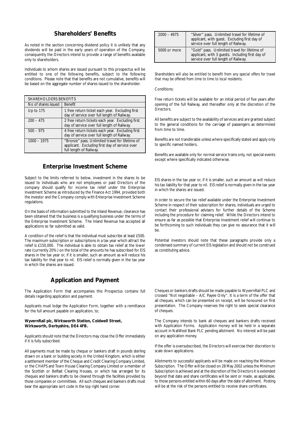## **Shareholders' Benefits**

As noted in the section concerning dividend policy it is unlikely that any dividends will be paid in the early years of operation of the Company, consequently the Directors intend to provide a range of benefits available only to shareholders.

Individuals to whom shares are issued pursuant to this prospectus will be entitled to one of the following benefits, subject to the following conditions. Please note that that benefits are not cumulative, benefits will be based on the aggregate number of shares issued to the shareholder.

|                                                                                                                                               | <b>SHAREHOLDERS BENEFITS</b>                                                                    |  |  |  |
|-----------------------------------------------------------------------------------------------------------------------------------------------|-------------------------------------------------------------------------------------------------|--|--|--|
| No of shares issued<br><b>Benefit</b>                                                                                                         |                                                                                                 |  |  |  |
| Up to 175                                                                                                                                     | 1 free return ticket each year. Excluding first<br>day of service over full length of Railway.  |  |  |  |
| $200 - 475$                                                                                                                                   | 2 free return tickets each year. Excluding first<br>day of service over full length of Railway. |  |  |  |
| $500 - 975$                                                                                                                                   | 4 free return tickets each year. Excluding first<br>day of service over full length of Railway. |  |  |  |
| "Bronze" pass. Unlimited travel for lifetime of<br>$1000 - 1975$<br>applicant. Excluding first day of service over<br>full length of Railway. |                                                                                                 |  |  |  |

## **Enterprise Investment Scheme**

Subject to the limits referred to below, investment in the shares to be issued to individuals who are not employees or paid Directors of the company should qualify for income tax relief under the Enterprise Investment Scheme as introduced by the Finance Act 1994, provided both the investor and the Company comply with Enterprise Investment Scheme regulations.

On the basis of information submitted to the Inland Revenue, clearance has been obtained that the business is a qualifying business under the terms of the Enterprise Investment Scheme. The Inland Revenue has accepted all applications so far submitted as valid.

A condition of the relief is that the individual must subscribe at least £500. The maximum subscription or subscriptions in a tax year which attract the relief is £150,000. The individual is able to obtain tax relief at the lower rate (currently 20%) on the total of the amounts he has subscribed for EIS shares in the tax year or, if it is smaller, such an amount as will reduce his tax liability for that year to nil. EIS relief is normally given in the tax year in which the shares are issued.

## **Application and Payment**

The Application Form that accompanies this Prospectus contains full details regarding application and payment.

Applicants must lodge the Application Form, together with a remittance for the full amount payable on application, to;

#### **WyvernRail plc, Wirksworth Station, Coldwell Street, Wirksworth, Derbyshire, DE4 4FB.**

Applicants should note that the Directors may close the Offer immediately if it is fully subscribed.

All payments must be made by cheque or bankers draft in pounds sterling drawn on a bank or building society in the United Kingdom, which is either a settlement member of the Cheque and Credit Clearing Company Limited, or the CHAPS and Town House Clearing Company Limited or a member of the Scottish or Belfast Clearing Houses, or which has arranged for its cheques and bankers drafts to be cleared through the facilities provided by those companies or committees. All such cheques and bankers drafts must bear the appropriate sort code in the top right hand corner.

| "Silver" pass. Unlimited travel for lifetime of<br>$2000 - 4975$<br>applicant, with quest. Excluding first day of<br>service over full length of Railway. |                                                                                                                                           |
|-----------------------------------------------------------------------------------------------------------------------------------------------------------|-------------------------------------------------------------------------------------------------------------------------------------------|
| 5000 or more                                                                                                                                              | "Gold" pass. Unlimited travel for lifetime of<br>applicant, with 3 quests. Including first day of<br>service over full length of Railway. |

*Shareholders will also be entitled to benefit from any special offers for travel that may be offered from time to time to local residents.*

Conditions:

Free return tickets will be available for an initial period of five years after opening of the full Railway, and thereafter only at the discretion of the Directors.

All benefits are subject to the availability of services and are granted subject to the general conditions for the carriage of passengers as determined from time to time.

Benefits are not transferable unless where specifically stated and apply only to specific named holders.

Benefits are available only for normal service trains only, not special events except where specifically indicated otherwise.

EIS shares in the tax year or, if it is smaller, such an amount as will reduce his tax liability for that year to nil. EIS relief is normally given in the tax year in which the shares are issued.

In order to secure the tax relief available under the Enterprise Investment Scheme in respect of their subscription for shares, individuals are urged to contact their professional advisers for further details of the Scheme including the procedure for claiming relief. While the Directors intend to ensure as far as possible that Enterprise Investment relief will continue to be forthcoming to such individuals they can give no assurance that it will  $h$  $\rho$ 

Potential investors should note that these paragraphs provide only a condensed summary of current EIS legislation and should not be construed as constituting advice.

Cheques or bankers drafts should be made payable to WyvernRail PLC and crossed "Not negotiable – A/C Payee Only". It is a term of the offer that all cheques, which can be presented on receipt, will be honoured on first presentation. The Company reserves the right to seek special clearance of cheques.

The Company intends to bank all cheques and bankers drafts received with Application Forms. Application money will be held in a separate account in NatWest Bank PLC pending allotment. No interest will be paid on any application money.

If the offer is oversubscribed, the Directors will exercise their discretion to scale down applications.

Allotments to successful applicants will be made on reaching the Minimum Subscription. The Offer will be closed on 28 May 2002 unless the Minimum Subscription is achieved and at the discretion of the Directors it is extended beyond that date and share certificates will be sent or made, as applicable, to those persons entitled within 60 days after the date of allotment. Posting will be at the risk of the persons entitled to receive share certificates.